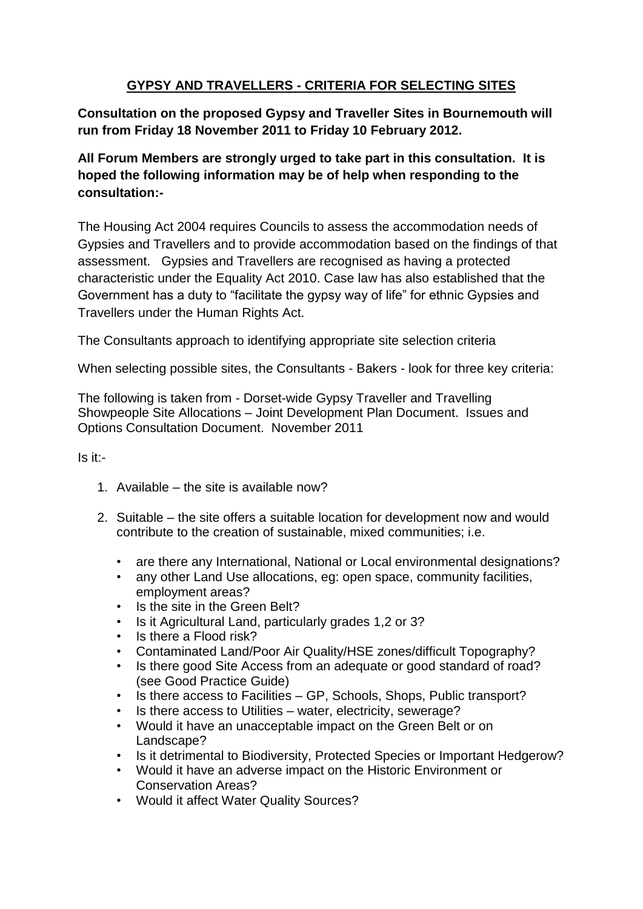## **GYPSY AND TRAVELLERS - CRITERIA FOR SELECTING SITES**

**Consultation on the proposed Gypsy and Traveller Sites in Bournemouth will run from Friday 18 November 2011 to Friday 10 February 2012.**

**All Forum Members are strongly urged to take part in this consultation. It is hoped the following information may be of help when responding to the consultation:-**

The Housing Act 2004 requires Councils to assess the accommodation needs of Gypsies and Travellers and to provide accommodation based on the findings of that assessment. Gypsies and Travellers are recognised as having a protected characteristic under the Equality Act 2010. Case law has also established that the Government has a duty to "facilitate the gypsy way of life" for ethnic Gypsies and Travellers under the Human Rights Act.

The Consultants approach to identifying appropriate site selection criteria

When selecting possible sites, the Consultants - Bakers - look for three key criteria:

The following is taken from - Dorset-wide Gypsy Traveller and Travelling Showpeople Site Allocations – Joint Development Plan Document. Issues and Options Consultation Document. November 2011

## Is it:-

- 1. Available the site is available now?
- 2. Suitable the site offers a suitable location for development now and would contribute to the creation of sustainable, mixed communities; i.e.
	- are there any International, National or Local environmental designations?
	- any other Land Use allocations, eg: open space, community facilities, employment areas?
	- Is the site in the Green Belt?
	- Is it Agricultural Land, particularly grades 1,2 or 3?
	- Is there a Flood risk?
	- Contaminated Land/Poor Air Quality/HSE zones/difficult Topography?
	- Is there good Site Access from an adequate or good standard of road? (see Good Practice Guide)
	- Is there access to Facilities GP, Schools, Shops, Public transport?
	- Is there access to Utilities water, electricity, sewerage?
	- Would it have an unacceptable impact on the Green Belt or on Landscape?
	- Is it detrimental to Biodiversity, Protected Species or Important Hedgerow?
	- Would it have an adverse impact on the Historic Environment or Conservation Areas?
	- Would it affect Water Quality Sources?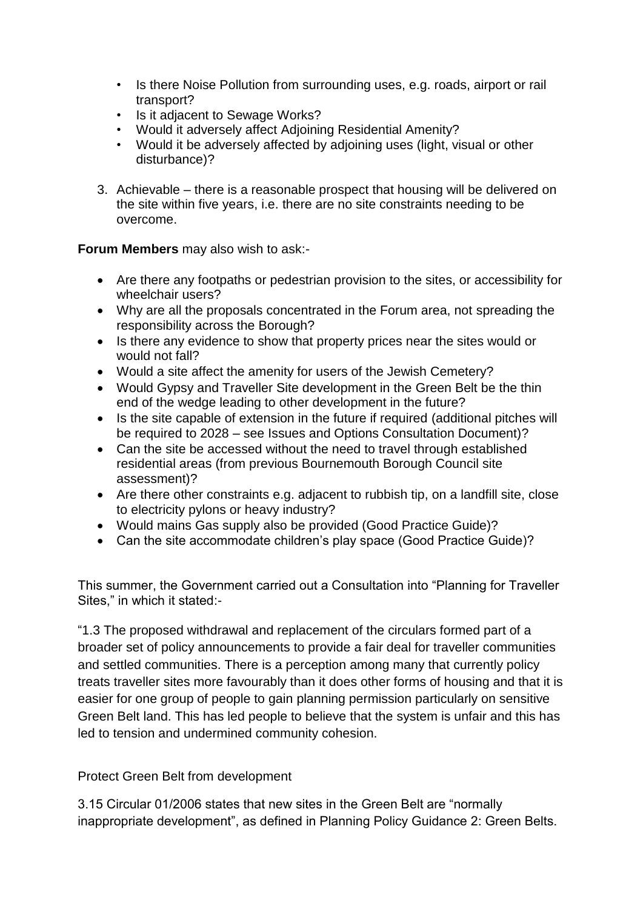- Is there Noise Pollution from surrounding uses, e.g. roads, airport or rail transport?
- Is it adjacent to Sewage Works?
- Would it adversely affect Adjoining Residential Amenity?
- Would it be adversely affected by adjoining uses (light, visual or other disturbance)?
- 3. Achievable there is a reasonable prospect that housing will be delivered on the site within five years, i.e. there are no site constraints needing to be overcome.

**Forum Members** may also wish to ask:-

- Are there any footpaths or pedestrian provision to the sites, or accessibility for wheelchair users?
- Why are all the proposals concentrated in the Forum area, not spreading the responsibility across the Borough?
- Is there any evidence to show that property prices near the sites would or would not fall?
- Would a site affect the amenity for users of the Jewish Cemetery?
- Would Gypsy and Traveller Site development in the Green Belt be the thin end of the wedge leading to other development in the future?
- Is the site capable of extension in the future if required (additional pitches will be required to 2028 – see Issues and Options Consultation Document)?
- Can the site be accessed without the need to travel through established residential areas (from previous Bournemouth Borough Council site assessment)?
- Are there other constraints e.g. adjacent to rubbish tip, on a landfill site, close to electricity pylons or heavy industry?
- Would mains Gas supply also be provided (Good Practice Guide)?
- Can the site accommodate children's play space (Good Practice Guide)?

This summer, the Government carried out a Consultation into "Planning for Traveller Sites," in which it stated:-

"1.3 The proposed withdrawal and replacement of the circulars formed part of a broader set of policy announcements to provide a fair deal for traveller communities and settled communities. There is a perception among many that currently policy treats traveller sites more favourably than it does other forms of housing and that it is easier for one group of people to gain planning permission particularly on sensitive Green Belt land. This has led people to believe that the system is unfair and this has led to tension and undermined community cohesion.

Protect Green Belt from development

3.15 Circular 01/2006 states that new sites in the Green Belt are "normally inappropriate development", as defined in Planning Policy Guidance 2: Green Belts.